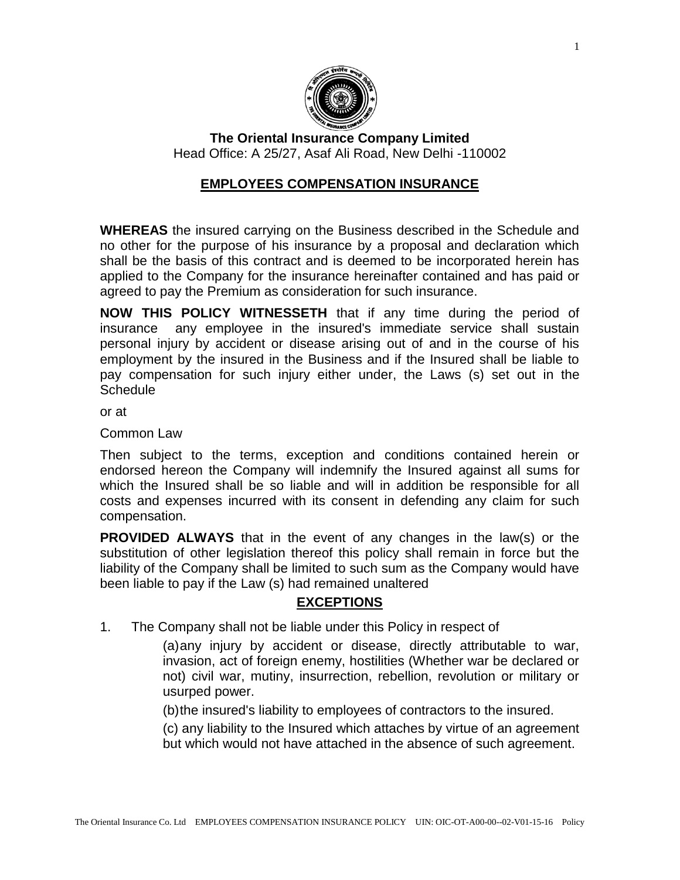

**The Oriental Insurance Company Limited** Head Office: A 25/27, Asaf Ali Road, New Delhi -110002

# **EMPLOYEES COMPENSATION INSURANCE**

**WHEREAS** the insured carrying on the Business described in the Schedule and no other for the purpose of his insurance by a proposal and declaration which shall be the basis of this contract and is deemed to be incorporated herein has applied to the Company for the insurance hereinafter contained and has paid or agreed to pay the Premium as consideration for such insurance.

**NOW THIS POLICY WITNESSETH** that if any time during the period of insurance any employee in the insured's immediate service shall sustain personal injury by accident or disease arising out of and in the course of his employment by the insured in the Business and if the Insured shall be liable to pay compensation for such injury either under, the Laws (s) set out in the **Schedule** 

or at

Common Law

Then subject to the terms, exception and conditions contained herein or endorsed hereon the Company will indemnify the Insured against all sums for which the Insured shall be so liable and will in addition be responsible for all costs and expenses incurred with its consent in defending any claim for such compensation.

**PROVIDED ALWAYS** that in the event of any changes in the law(s) or the substitution of other legislation thereof this policy shall remain in force but the liability of the Company shall be limited to such sum as the Company would have been liable to pay if the Law (s) had remained unaltered

# **EXCEPTIONS**

1. The Company shall not be liable under this Policy in respect of

(a)any injury by accident or disease, directly attributable to war, invasion, act of foreign enemy, hostilities (Whether war be declared or not) civil war, mutiny, insurrection, rebellion, revolution or military or usurped power.

(b)the insured's liability to employees of contractors to the insured.

(c) any liability to the Insured which attaches by virtue of an agreement but which would not have attached in the absence of such agreement.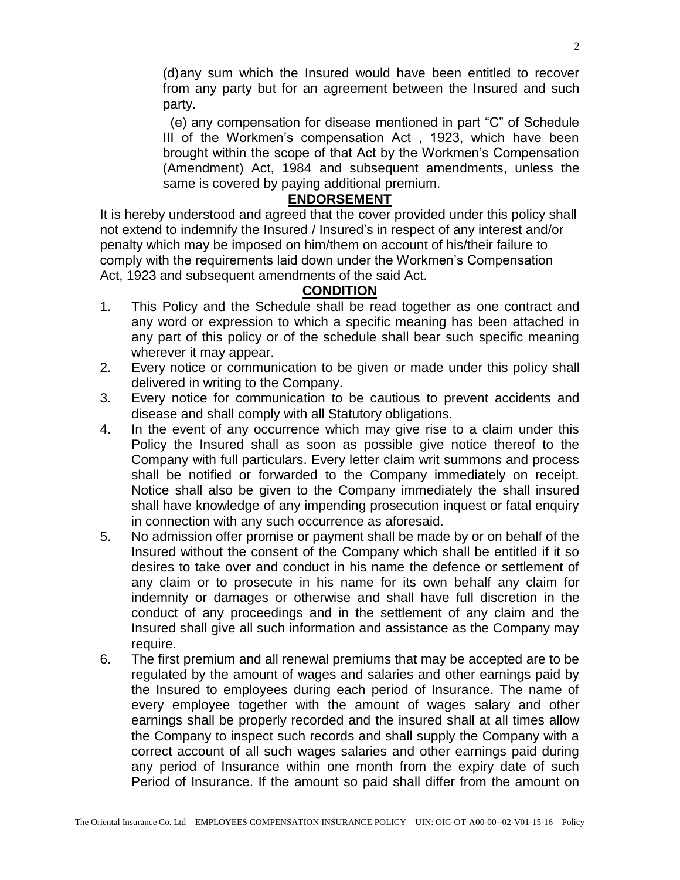(d)any sum which the Insured would have been entitled to recover from any party but for an agreement between the Insured and such party.

 (e) any compensation for disease mentioned in part "C" of Schedule III of the Workmen's compensation Act , 1923, which have been brought within the scope of that Act by the Workmen's Compensation (Amendment) Act, 1984 and subsequent amendments, unless the same is covered by paying additional premium.

### **ENDORSEMENT**

It is hereby understood and agreed that the cover provided under this policy shall not extend to indemnify the Insured / Insured's in respect of any interest and/or penalty which may be imposed on him/them on account of his/their failure to comply with the requirements laid down under the Workmen's Compensation Act, 1923 and subsequent amendments of the said Act.

## **CONDITION**

- 1. This Policy and the Schedule shall be read together as one contract and any word or expression to which a specific meaning has been attached in any part of this policy or of the schedule shall bear such specific meaning wherever it may appear.
- 2. Every notice or communication to be given or made under this policy shall delivered in writing to the Company.
- 3. Every notice for communication to be cautious to prevent accidents and disease and shall comply with all Statutory obligations.
- 4. In the event of any occurrence which may give rise to a claim under this Policy the Insured shall as soon as possible give notice thereof to the Company with full particulars. Every letter claim writ summons and process shall be notified or forwarded to the Company immediately on receipt. Notice shall also be given to the Company immediately the shall insured shall have knowledge of any impending prosecution inquest or fatal enquiry in connection with any such occurrence as aforesaid.
- 5. No admission offer promise or payment shall be made by or on behalf of the Insured without the consent of the Company which shall be entitled if it so desires to take over and conduct in his name the defence or settlement of any claim or to prosecute in his name for its own behalf any claim for indemnity or damages or otherwise and shall have full discretion in the conduct of any proceedings and in the settlement of any claim and the Insured shall give all such information and assistance as the Company may require.
- 6. The first premium and all renewal premiums that may be accepted are to be regulated by the amount of wages and salaries and other earnings paid by the Insured to employees during each period of Insurance. The name of every employee together with the amount of wages salary and other earnings shall be properly recorded and the insured shall at all times allow the Company to inspect such records and shall supply the Company with a correct account of all such wages salaries and other earnings paid during any period of Insurance within one month from the expiry date of such Period of Insurance. If the amount so paid shall differ from the amount on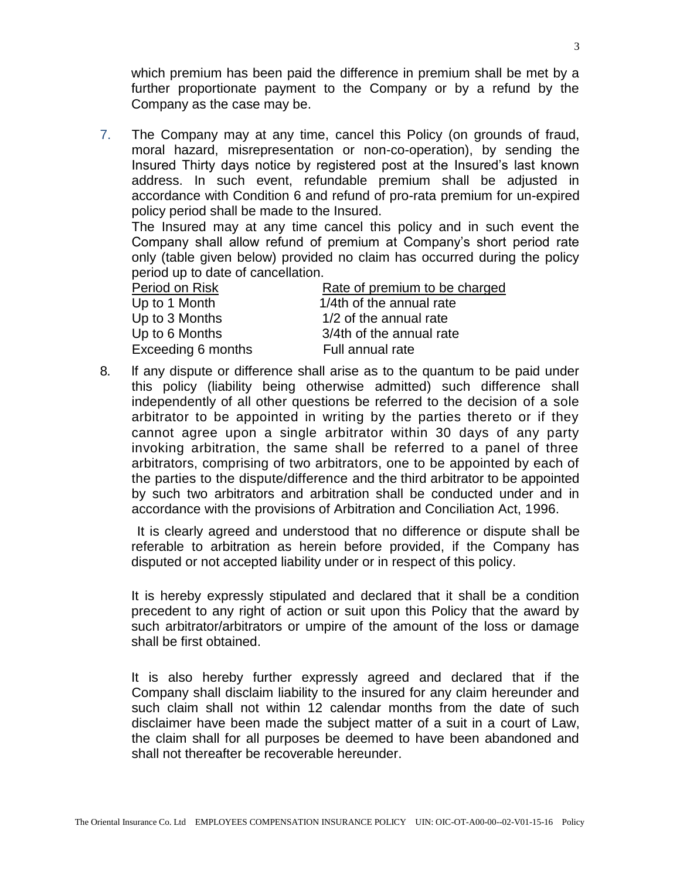which premium has been paid the difference in premium shall be met by a further proportionate payment to the Company or by a refund by the Company as the case may be.

7. The Company may at any time, cancel this Policy (on grounds of fraud, moral hazard, misrepresentation or non-co-operation), by sending the Insured Thirty days notice by registered post at the Insured's last known address. In such event, refundable premium shall be adjusted in accordance with Condition 6 and refund of pro-rata premium for un-expired policy period shall be made to the Insured.

The Insured may at any time cancel this policy and in such event the Company shall allow refund of premium at Company's short period rate only (table given below) provided no claim has occurred during the policy period up to date of cancellation.

| Period on Risk     | Rate of premium to be charged |
|--------------------|-------------------------------|
| Up to 1 Month      | 1/4th of the annual rate      |
| Up to 3 Months     | 1/2 of the annual rate        |
| Up to 6 Months     | 3/4th of the annual rate      |
| Exceeding 6 months | Full annual rate              |

8. lf any dispute or difference shall arise as to the quantum to be paid under this policy (liability being otherwise admitted) such difference shall independently of all other questions be referred to the decision of a sole arbitrator to be appointed in writing by the parties thereto or if they cannot agree upon a single arbitrator within 30 days of any party invoking arbitration, the same shall be referred to a panel of three arbitrators, comprising of two arbitrators, one to be appointed by each of the parties to the dispute/difference and the third arbitrator to be appointed by such two arbitrators and arbitration shall be conducted under and in accordance with the provisions of Arbitration and Conciliation Act, 1996.

 It is clearly agreed and understood that no difference or dispute shall be referable to arbitration as herein before provided, if the Company has disputed or not accepted liability under or in respect of this policy.

It is hereby expressly stipulated and declared that it shall be a condition precedent to any right of action or suit upon this Policy that the award by such arbitrator/arbitrators or umpire of the amount of the loss or damage shall be first obtained.

It is also hereby further expressly agreed and declared that if the Company shall disclaim liability to the insured for any claim hereunder and such claim shall not within 12 calendar months from the date of such disclaimer have been made the subject matter of a suit in a court of Law, the claim shall for all purposes be deemed to have been abandoned and shall not thereafter be recoverable hereunder.